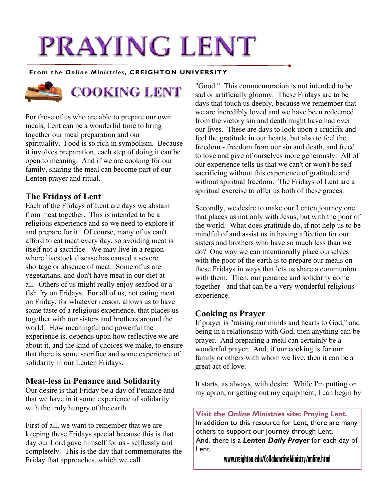# PRAYING LENT

#### **From the** *Online Ministries***, CREIGHTON UNIVERSITY**



For those of us who are able to prepare our own meals, Lent can be a wonderful time to bring together our meal preparation and our spirituality. Food is so rich in symbolism. Because it involves preparation, each step of doing it can be open to meaning. And if we are cooking for our family, sharing the meal can become part of our Lenten prayer and ritual.

## **The Fridays of Lent**

Each of the Fridays of Lent are days we abstain from meat together. This is intended to be a religious experience and so we need to explore it and prepare for it. Of course, many of us can't afford to eat meat every day, so avoiding meat is itself not a sacrifice. We may live in a region where livestock disease has caused a severe shortage or absence of meat. Some of us are vegetarians, and don't have meat in our diet at all. Others of us might really enjoy seafood or a fish fry on Fridays. For all of us, not eating meat on Friday, for whatever reason, allows us to have some taste of a religious experience, that places us together with our sisters and brothers around the world. How meaningful and powerful the experience is, depends upon how reflective we are about it, and the kind of choices we make, to ensure that there is some sacrifice and some experience of solidarity in our Lenten Fridays.

## **Meat-less in Penance and Solidarity**

Our desire is that Friday be a day of Penance and that we have in it some experience of solidarity with the truly hungry of the earth.

First of all, we want to remember that we are keeping these Fridays special because this is that day our Lord gave himself for us - selflessly and completely. This is the day that commemorates the Friday that approaches, which we call

"Good." This commemoration is not intended to be sad or artificially gloomy. These Fridays are to be days that touch us deeply, because we remember that we are incredibly loved and we have been redeemed from the victory sin and death might have had over our lives. These are days to look upon a crucifix and feel the gratitude in our hearts, but also to feel the freedom - freedom from our sin and death, and freed to love and give of ourselves more generously. All of our experience tells us that we can't or won't be selfsacrificing without this experience of gratitude and without spiritual freedom. The Fridays of Lent are a spiritual exercise to offer us both of these graces.

Secondly, we desire to make our Lenten journey one that places us not only with Jesus, but with the poor of the world. What does gratitude do, if not help us to be mindful of and assist us in having affection for our sisters and brothers who have so much less than we do? One way we can intentionally place ourselves with the poor of the earth is to prepare our meals on these Fridays in ways that lets us share a communion with them. Then, our penance and solidarity come together - and that can be a very wonderful religious experience.

## **Cooking as Prayer**

If prayer is "raising our minds and hearts to God," and being in a relationship with God, then anything can be prayer. And preparing a meal can certainly be a wonderful prayer. And, if our cooking is for our family or others with whom we live, then it can be a great act of love.

It starts, as always, with desire. While I'm putting on my apron, or getting out my equipment, I can begin by

**Visit the** *Online Ministries* **site:** *Praying Lent.* In addition to this resource for Lent, there are many others to support our journey through Lent. And, there is a *Lenten Daily Prayer* for each day of Lent.

**www.creighton.edu/CollaborativeMinistry/online.html**